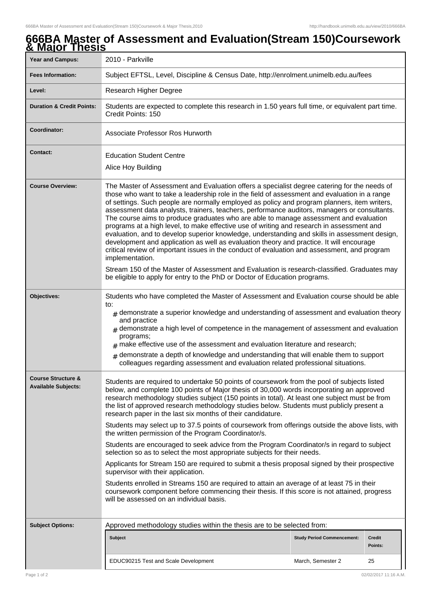## **666BA Master of Assessment and Evaluation(Stream 150)Coursework & Major Thesis** Year and Campus: 2010 - Parkville **Fees Information:** [Subject EFTSL, Level, Discipline & Census Date, http://enrolment.unimelb.edu.au/fees](http://enrolment.unimelb.edu.au/fees)

| Level:                                                      | Research Higher Degree                                                                                                                                                                                                                                                                                                                                                                                                                                                                                                                                                                                                                                                                                                                                                                                                                                                                                                                                                                                                                                                                                                                                                       |                                   |                          |  |
|-------------------------------------------------------------|------------------------------------------------------------------------------------------------------------------------------------------------------------------------------------------------------------------------------------------------------------------------------------------------------------------------------------------------------------------------------------------------------------------------------------------------------------------------------------------------------------------------------------------------------------------------------------------------------------------------------------------------------------------------------------------------------------------------------------------------------------------------------------------------------------------------------------------------------------------------------------------------------------------------------------------------------------------------------------------------------------------------------------------------------------------------------------------------------------------------------------------------------------------------------|-----------------------------------|--------------------------|--|
| <b>Duration &amp; Credit Points:</b>                        | Students are expected to complete this research in 1.50 years full time, or equivalent part time.<br>Credit Points: 150                                                                                                                                                                                                                                                                                                                                                                                                                                                                                                                                                                                                                                                                                                                                                                                                                                                                                                                                                                                                                                                      |                                   |                          |  |
| Coordinator:                                                | Associate Professor Ros Hurworth                                                                                                                                                                                                                                                                                                                                                                                                                                                                                                                                                                                                                                                                                                                                                                                                                                                                                                                                                                                                                                                                                                                                             |                                   |                          |  |
| <b>Contact:</b>                                             | <b>Education Student Centre</b><br>Alice Hoy Building                                                                                                                                                                                                                                                                                                                                                                                                                                                                                                                                                                                                                                                                                                                                                                                                                                                                                                                                                                                                                                                                                                                        |                                   |                          |  |
| <b>Course Overview:</b>                                     | The Master of Assessment and Evaluation offers a specialist degree catering for the needs of<br>those who want to take a leadership role in the field of assessment and evaluation in a range<br>of settings. Such people are normally employed as policy and program planners, item writers,<br>assessment data analysts, trainers, teachers, performance auditors, managers or consultants.<br>The course aims to produce graduates who are able to manage assessment and evaluation<br>programs at a high level, to make effective use of writing and research in assessment and<br>evaluation, and to develop superior knowledge, understanding and skills in assessment design,<br>development and application as well as evaluation theory and practice. It will encourage<br>critical review of important issues in the conduct of evaluation and assessment, and program<br>implementation.<br>Stream 150 of the Master of Assessment and Evaluation is research-classified. Graduates may<br>be eligible to apply for entry to the PhD or Doctor of Education programs.                                                                                             |                                   |                          |  |
| Objectives:                                                 | Students who have completed the Master of Assessment and Evaluation course should be able<br>to:<br>$#$ demonstrate a superior knowledge and understanding of assessment and evaluation theory<br>and practice<br>$#$ demonstrate a high level of competence in the management of assessment and evaluation<br>programs;<br>$#$ make effective use of the assessment and evaluation literature and research;<br>$_{\#}$ demonstrate a depth of knowledge and understanding that will enable them to support<br>colleagues regarding assessment and evaluation related professional situations.                                                                                                                                                                                                                                                                                                                                                                                                                                                                                                                                                                               |                                   |                          |  |
| <b>Course Structure &amp;</b><br><b>Available Subjects:</b> | Students are required to undertake 50 points of coursework from the pool of subjects listed<br>below, and complete 100 points of Major thesis of 30,000 words incorporating an approved<br>research methodology studies subject (150 points in total). At least one subject must be from<br>the list of approved research methodology studies below. Students must publicly present a<br>research paper in the last six months of their candidature.<br>Students may select up to 37.5 points of coursework from offerings outside the above lists, with<br>the written permission of the Program Coordinator/s.<br>Students are encouraged to seek advice from the Program Coordinator/s in regard to subject<br>selection so as to select the most appropriate subjects for their needs.<br>Applicants for Stream 150 are required to submit a thesis proposal signed by their prospective<br>supervisor with their application.<br>Students enrolled in Streams 150 are required to attain an average of at least 75 in their<br>coursework component before commencing their thesis. If this score is not attained, progress<br>will be assessed on an individual basis. |                                   |                          |  |
| <b>Subject Options:</b>                                     | Approved methodology studies within the thesis are to be selected from:                                                                                                                                                                                                                                                                                                                                                                                                                                                                                                                                                                                                                                                                                                                                                                                                                                                                                                                                                                                                                                                                                                      |                                   |                          |  |
|                                                             | <b>Subject</b>                                                                                                                                                                                                                                                                                                                                                                                                                                                                                                                                                                                                                                                                                                                                                                                                                                                                                                                                                                                                                                                                                                                                                               | <b>Study Period Commencement:</b> | <b>Credit</b><br>Points: |  |
|                                                             | EDUC90215 Test and Scale Development                                                                                                                                                                                                                                                                                                                                                                                                                                                                                                                                                                                                                                                                                                                                                                                                                                                                                                                                                                                                                                                                                                                                         | March, Semester 2                 | 25                       |  |